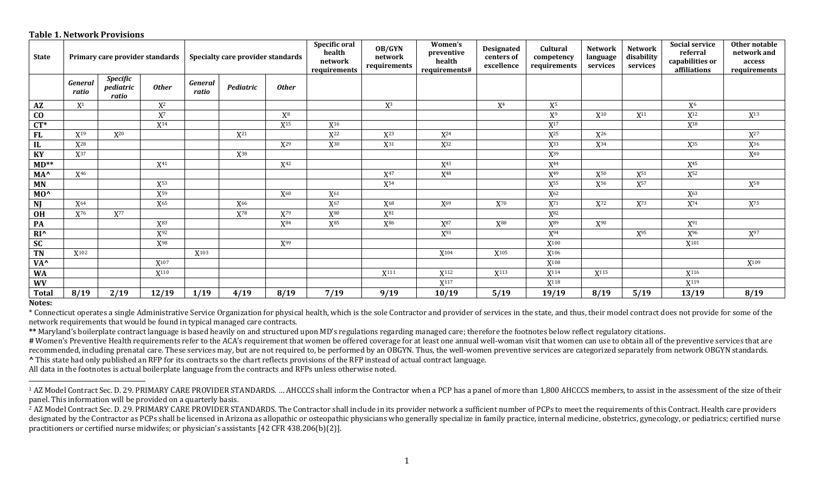## **Table 1. Network Provisions**

| <b>State</b>    |                         |                                       | Primary care provider standards | Specialty care provider standards |                 |                 | Specific oral<br>health<br>network<br>requirements | OB/GYN<br>network<br>requirements | Women's<br>preventive<br>health<br>requirements# | <b>Designated</b><br>centers of<br>excellence | Cultural<br>competency<br>requirements | <b>Network</b><br>language<br>services | <b>Network</b><br>disability<br>services | <b>Social service</b><br>referral<br>capabilities or<br>affiliations | Other notable<br>network and<br>access<br>requirements |
|-----------------|-------------------------|---------------------------------------|---------------------------------|-----------------------------------|-----------------|-----------------|----------------------------------------------------|-----------------------------------|--------------------------------------------------|-----------------------------------------------|----------------------------------------|----------------------------------------|------------------------------------------|----------------------------------------------------------------------|--------------------------------------------------------|
|                 | <b>General</b><br>ratio | <b>Specific</b><br>pediatric<br>ratio | <b>Other</b>                    | <b>General</b><br>ratio           | Pediatric       | <b>Other</b>    |                                                    |                                   |                                                  |                                               |                                        |                                        |                                          |                                                                      |                                                        |
| AZ              | $X^1$                   |                                       | $X^2$                           |                                   |                 |                 |                                                    | $X^3$                             |                                                  | X <sup>4</sup>                                | ${\rm X}^5$                            |                                        |                                          | X <sup>6</sup>                                                       |                                                        |
| $\bf CO$        |                         |                                       | $X^7$                           |                                   |                 | $X^8$           |                                                    |                                   |                                                  |                                               | X <sup>9</sup>                         | $X^{10}$                               | X <sup>11</sup>                          | $X^{12}$                                                             | $X^{13}$                                               |
| $CT^*$          |                         |                                       | $X^{14}$                        |                                   |                 | $X^{15}$        | $X^{16}$                                           |                                   |                                                  |                                               | $X^{17}$                               |                                        |                                          | $X^{18}$                                                             |                                                        |
| <b>FL</b>       | $X^{19}$                | $X^{20}$                              |                                 |                                   | $X^{21}$        |                 | $X^{22}$                                           | $X^{23}$                          | $X^{24}$                                         |                                               | $X^{25}$                               | $X^{26}$                               |                                          |                                                                      | $X^{27}$                                               |
| IL              | $X^{28}$                |                                       |                                 |                                   |                 | $X^{29}$        | $X^{30}$                                           | $X^{31}$                          | $X^{32}$                                         |                                               | $X^{33}$                               | $X^{34}$                               |                                          | $X^{35}$                                                             | $X^{36}$                                               |
| KY              | $X^{37}$                |                                       |                                 |                                   | X38             |                 |                                                    |                                   |                                                  |                                               | $X^{39}$                               |                                        |                                          |                                                                      | $X^{40}$                                               |
| $MD**$          |                         |                                       | $X^{41}$                        |                                   |                 | $X^{42}$        |                                                    |                                   | X <sup>43</sup>                                  |                                               | $X^{44}$                               |                                        |                                          | X <sup>45</sup>                                                      |                                                        |
| MA <sup>^</sup> | X <sup>46</sup>         |                                       |                                 |                                   |                 |                 |                                                    | $X^{47}$                          | $X^{48}$                                         |                                               | $X^{49}$                               | $X^{50}$                               | $X^{51}$                                 | X <sup>52</sup>                                                      |                                                        |
| <b>MN</b>       |                         |                                       | X <sup>53</sup>                 |                                   |                 |                 |                                                    | $X^{54}$                          |                                                  |                                               | X <sup>55</sup>                        | X <sup>56</sup>                        | X <sup>57</sup>                          |                                                                      | X <sup>58</sup>                                        |
| MO <sup>^</sup> |                         |                                       | X <sup>59</sup>                 |                                   |                 | X <sup>60</sup> | $X^{61}$                                           |                                   |                                                  |                                               | X <sub>62</sub>                        |                                        |                                          | X63                                                                  |                                                        |
| NJ              | $X^{64}$                |                                       | $\mathrm{X}^{65}$               |                                   | X <sup>66</sup> |                 | $\mathrm{X}^{67}$                                  | $X^{68}$                          | $X^{69}$                                         | $X^{70}$                                      | $\mathbf{X}^{71}$                      | $\mathbf{X}^{72}$                      | $X^{73}$                                 | $X^{74}$                                                             | $\mathbf{X}^{75}$                                      |
| OH              | $X^{76}$                | $\mathbf{X}^{77}$                     |                                 |                                   | X78             | $X^{79}$        | X80                                                | $X^{81}$                          |                                                  |                                               | X82                                    |                                        |                                          |                                                                      |                                                        |
| PA              |                         |                                       | $X^{83}$                        |                                   |                 | $X^{84}$        | $X^{85}$                                           | X <sup>86</sup>                   | $X^{87}$                                         | X88                                           | $X^{89}$                               | $X^{90}$                               |                                          | $X^{91}$                                                             |                                                        |
| $RI^{\wedge}$   |                         |                                       | X <sup>92</sup>                 |                                   |                 |                 |                                                    |                                   | X <sup>93</sup>                                  |                                               | $X^{94}$                               |                                        | X <sup>95</sup>                          | X <sup>96</sup>                                                      | X <sup>97</sup>                                        |
| <b>SC</b>       |                         |                                       | X98                             |                                   |                 | X <sup>99</sup> |                                                    |                                   |                                                  |                                               | $X^{100}$                              |                                        |                                          | $X^{101}$                                                            |                                                        |
| <b>TN</b>       | $X^{102}$               |                                       |                                 | $X^{103}$                         |                 |                 |                                                    |                                   | $X^{104}$                                        | $X^{105}$                                     | $X^{106}$                              |                                        |                                          |                                                                      |                                                        |
| VA <sup>^</sup> |                         |                                       | $X^{107}$                       |                                   |                 |                 |                                                    |                                   |                                                  |                                               | $X^{108}$                              |                                        |                                          |                                                                      | $X^{109}$                                              |
| <b>WA</b>       |                         |                                       | X <sup>110</sup>                |                                   |                 |                 |                                                    | X <sup>111</sup>                  | X112                                             | $X^{113}$                                     | $X^{114}$                              | $X^{115}$                              |                                          | X <sup>116</sup>                                                     |                                                        |
| <b>WV</b>       |                         |                                       |                                 |                                   |                 |                 |                                                    |                                   | X <sup>117</sup>                                 |                                               | X <sup>118</sup>                       |                                        |                                          | X <sup>119</sup>                                                     |                                                        |
| <b>Total</b>    | 8/19                    | 2/19                                  | 12/19                           | 1/19                              | 4/19            | 8/19            | 7/19                                               | 9/19                              | 10/19                                            | 5/19                                          | 19/19                                  | 8/19                                   | 5/19                                     | 13/19                                                                | 8/19                                                   |

## **Notes:**

 

\* Connecticut operates a single Administrative Service Organization for physical health, which is the sole Contractor and provider of services in the state, and thus, their model contract does not provide for some of the network requirements that would be found in typical managed care contracts.

\*\* Maryland's boilerplate contract language is based heavily on and structured upon MD's regulations regarding managed care; therefore the footnotes below reflect regulatory citations.

# Women's Preventive Health requirements refer to the ACA's requirement that women be offered coverage for at least one annual well-woman visit that women can use to obtain all of the preventive services that are recommended, including prenatal care. These services may, but are not required to, be performed by an OBGYN. Thus, the well-women preventive services are categorized separately from network OBGYN standards. **^** This state had only published an RFP for its contracts so the chart reflects provisions of the RFP instead of actual contract language.

All data in the footnotes is actual boilerplate language from the contracts and RFPs unless otherwise noted.

<sup>1</sup> AZ Model Contract Sec. D. 29. PRIMARY CARE PROVIDER STANDARDS. ... AHCCCS shall inform the Contractor when a PCP has a panel of more than 1,800 AHCCCS members, to assist in the assessment of the size of their panel. This information will be provided on a quarterly basis.

<sup>2</sup> AZ Model Contract Sec. D. 29. PRIMARY CARE PROVIDER STANDARDS. The Contractor shall include in its provider network a sufficient number of PCPs to meet the requirements of this Contract. Health care providers designated by the Contractor as PCPs shall be licensed in Arizona as allopathic or osteopathic physicians who generally specialize in family practice, internal medicine, obstetrics, gynecology, or pediatrics; certified nur practitioners or certified nurse midwifes; or physician's assistants  $[42 \text{ CFR } 438.206(b)(2)]$ .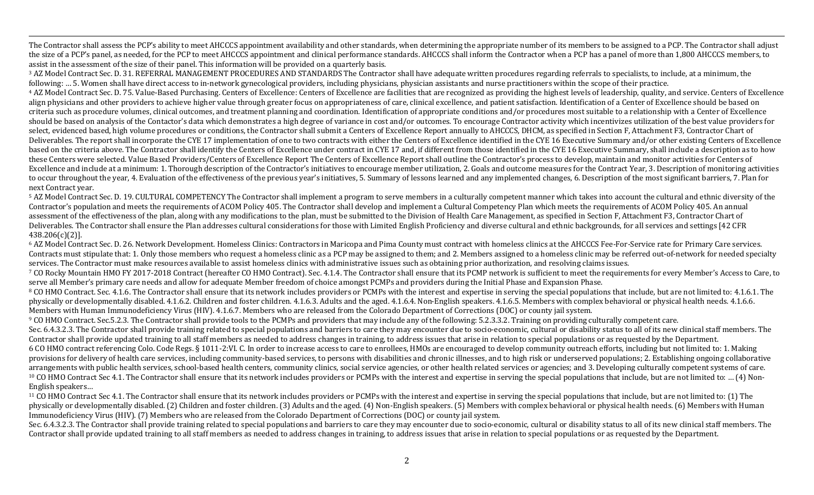The Contractor shall assess the PCP's ability to meet AHCCCS appointment availability and other standards, when determining the appropriate number of its members to be assigned to a PCP. The Contractor shall adjust the size of a PCP's panel, as needed, for the PCP to meet AHCCCS appointment and clinical performance standards. AHCCCS shall inform the Contractor when a PCP has a panel of more than 1,800 AHCCCS members, to assist in the assessment of the size of their panel. This information will be provided on a quarterly basis.

,一个人都没有,他们的人都没有,他们的人都没有,他们的人都没有,他们的人都没有,他们的人都没有,他们的人都没有,他们的人都是不是,他们的人都是不是,他们的人都是<br>第251章 我们的人都是不是,他们的人都是不是,他们的人都是不是,他们的人都是不是,他们的人都是不是,他们的人都是不是,他们的人都是不是,他们的人都是不是不是,

<sup>3</sup> AZ Model Contract Sec. D. 31. REFERRAL MANAGEMENT PROCEDURES AND STANDARDS The Contractor shall have adequate written procedures regarding referrals to specialists, to include, at a minimum, the following: ... 5. Women shall have direct access to in-network gynecological providers, including physicians, physician assistants and nurse practitioners within the scope of their practice.

4 AZ Model Contract Sec. D. 75. Value-Based Purchasing. Centers of Excellence: Centers of Excellence are facilities that are recognized as providing the highest levels of leadership, quality, and service. Centers of Excell align physicians and other providers to achieve higher value through greater focus on appropriateness of care, clinical excellence, and patient satisfaction. Identification of a Center of Excellence should be based on criteria such as procedure volumes, clinical outcomes, and treatment planning and coordination. Identification of appropriate conditions and/or procedures most suitable to a relationship with a Center of Excellence should be based on analysis of the Contactor's data which demonstrates a high degree of variance in cost and/or outcomes. To encourage Contractor activity which incentivizes utilization of the best value providers for select, evidenced based, high volume procedures or conditions, the Contractor shall submit a Centers of Excellence Report annually to AHCCCS, DHCM, as specified in Section F, Attachment F3, Contractor Chart of Deliverables. The report shall incorporate the CYE 17 implementation of one to two contracts with either the Centers of Excellence identified in the CYE 16 Executive Summary and/or other existing Centers of Excellence based on the criteria above. The Contractor shall identify the Centers of Excellence under contract in CYE 17 and, if different from those identified in the CYE 16 Executive Summary, shall include a description as to how these Centers were selected. Value Based Providers/Centers of Excellence Report The Centers of Excellence Report shall outline the Contractor's process to develop, maintain and monitor activities for Centers of Excellence and include at a minimum: 1. Thorough description of the Contractor's initiatives to encourage member utilization, 2. Goals and outcome measures for the Contract Year, 3. Description of monitoring activities to occur throughout the year, 4. Evaluation of the effectiveness of the previous year's initiatives, 5. Summary of lessons learned and any implemented changes, 6. Description of the most significant barriers, 7. Plan for next Contract vear.

<sup>5</sup> AZ Model Contract Sec. D. 19. CULTURAL COMPETENCY The Contractor shall implement a program to serve members in a culturally competent manner which takes into account the cultural and ethnic diversity of the Contractor's population and meets the requirements of ACOM Policy 405. The Contractor shall develop and implement a Cultural Competency Plan which meets the requirements of ACOM Policy 405. An annual assessment of the effectiveness of the plan, along with any modifications to the plan, must be submitted to the Division of Health Care Management, as specified in Section F, Attachment F3, Contractor Chart of Deliverables. The Contractor shall ensure the Plan addresses cultural considerations for those with Limited English Proficiency and diverse cultural and ethnic backgrounds, for all services and settings [42 CFR] 438.206(c)(2)]. 

<sup>6</sup> AZ Model Contract Sec. D. 26. Network Development. Homeless Clinics: Contractors in Maricopa and Pima County must contract with homeless clinics at the AHCCCS Fee-For-Service rate for Primary Care services. Contracts must stipulate that: 1. Only those members who request a homeless clinic as a PCP may be assigned to them; and 2. Members assigned to a homeless clinic may be referred out-of-network for needed specialty services. The Contractor must make resources available to assist homeless clinics with administrative issues such as obtaining prior authorization, and resolving claims issues.

7 CO Rocky Mountain HMO FY 2017-2018 Contract (hereafter CO HMO Contract). Sec. 4.1.4. The Contractor shall ensure that its PCMP network is sufficient to meet the requirements for every Member's Access to Care, to serve all Member's primary care needs and allow for adequate Member freedom of choice amongst PCMPs and providers during the Initial Phase and Expansion Phase.

 $8$  CO HMO Contract. Sec. 4.1.6. The Contractor shall ensure that its network includes providers or PCMPs with the interest and expertise in serving the special populations that include, but are not limited to: 4.1.6.1. T physically or developmentally disabled. 4.1.6.2. Children and foster children. 4.1.6.3. Adults and the aged. 4.1.6.4. Non-English speakers. 4.1.6.5. Members with complex behavioral or physical health needs. 4.1.6.6. Members with Human Immunodeficiency Virus (HIV). 4.1.6.7. Members who are released from the Colorado Department of Corrections (DOC) or county jail system.

<sup>9</sup> CO HMO Contract. Sec.5.2.3. The Contractor shall provide tools to the PCMPs and providers that may include any of the following: 5.2.3.3.2. Training on providing culturally competent care.

Sec. 6.4.3.2.3. The Contractor shall provide training related to special populations and barriers to care they may encounter due to socio-economic, cultural or disability status to all of its new clinical staff members. Th Contractor shall provide updated training to all staff members as needed to address changes in training, to address issues that arise in relation to special populations or as requested by the Department.

6 CO HMO contract referencing Colo. Code Regs. § 1011-2:VI. C. In order to increase access to care to enrollees, HMOs are encouraged to develop community outreach efforts, including but not limited to: 1. Making provisions for delivery of health care services, including community-based services, to persons with disabilities and chronic illnesses, and to high risk or underserved populations; 2. Establishing ongoing collaborative arrangements with public health services, school-based health centers, community clinics, social service agencies, or other health related services or agencies; and 3. Developing culturally competent systems of care. <sup>10</sup> CO HMO Contract Sec 4.1. The Contractor shall ensure that its network includes providers or PCMPs with the interest and expertise in serving the special populations that include, but are not limited to: ... (4) Non-English speakers...

<sup>11</sup> CO HMO Contract Sec 4.1. The Contractor shall ensure that its network includes providers or PCMPs with the interest and expertise in serving the special populations that include, but are not limited to: (1) The physically or developmentally disabled. (2) Children and foster children. (3) Adults and the aged. (4) Non-English speakers. (5) Members with complex behavioral or physical health needs. (6) Members with Human Immunodeficiency Virus (HIV). (7) Members who are released from the Colorado Department of Corrections (DOC) or county jail system.

Sec. 6.4.3.2.3. The Contractor shall provide training related to special populations and barriers to care they may encounter due to socio-economic, cultural or disability status to all of its new clinical staff members. Th Contractor shall provide updated training to all staff members as needed to address changes in training, to address issues that arise in relation to special populations or as requested by the Department.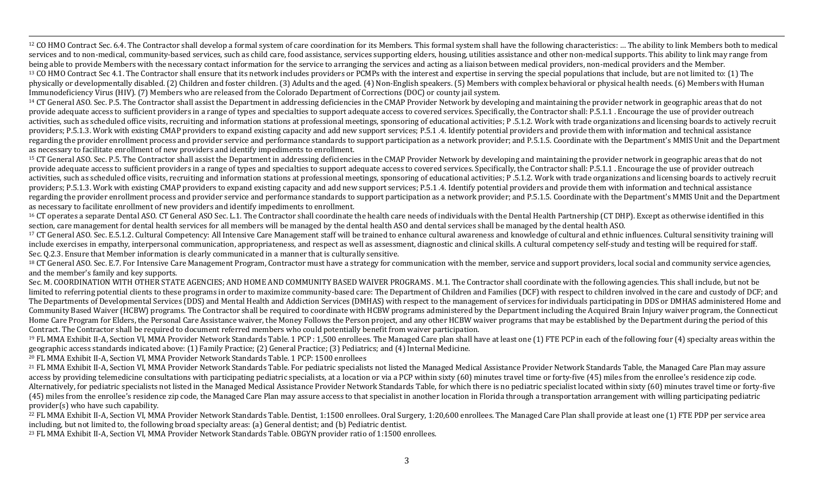<sup>12</sup> CO HMO Contract Sec. 6.4. The Contractor shall develop a formal system of care coordination for its Members. This formal system shall have the following characteristics: ... The ability to link Members both to medical services and to non-medical, community-based services, such as child care, food assistance, services supporting elders, housing, utilities assistance and other non-medical supports. This ability to link may range from being able to provide Members with the necessary contact information for the service to arranging the services and acting as a liaison between medical providers, non-medical providers and the Member. <sup>13</sup> CO HMO Contract Sec 4.1. The Contractor shall ensure that its network includes providers or PCMPs with the interest and expertise in serving the special populations that include, but are not limited to: (1) The physically or developmentally disabled. (2) Children and foster children. (3) Adults and the aged. (4) Non-English speakers. (5) Members with complex behavioral or physical health needs. (6) Members with Human Immunodeficiency Virus (HIV). (7) Members who are released from the Colorado Department of Corrections (DOC) or county jail system.

,一个人都没有,他们的人都没有,他们的人都没有,他们的人都没有,他们的人都没有,他们的人都没有,他们的人都没有,他们的人都是不是,他们的人都是不是,他们的人都是<br>第251章 我们的人都是不是,他们的人都是不是,他们的人都是不是,他们的人都是不是,他们的人都是不是,他们的人都是不是,他们的人都是不是,他们的人都是不是不是,

<sup>14</sup> CT General ASO. Sec. P.5. The Contractor shall assist the Department in addressing deficiencies in the CMAP Provider Network by developing and maintaining the provider network in geographic areas that do not provide adequate access to sufficient providers in a range of types and specialties to support adequate access to covered services. Specifically, the Contractor shall: P.5.1.1. Encourage the use of provider outreach activities, such as scheduled office visits, recruiting and information stations at professional meetings, sponsoring of educational activities; P.5.1.2. Work with trade organizations and licensing boards to actively recru providers; P.5.1.3. Work with existing CMAP providers to expand existing capacity and add new support services; P.5.1.4. Identify potential providers and provide them with information and technical assistance regarding the provider enrollment process and provider service and performance standards to support participation as a network provider; and P.5.1.5. Coordinate with the Department's MMIS Unit and the Department as necessary to facilitate enrollment of new providers and identify impediments to enrollment.

<sup>15</sup> CT General ASO. Sec. P.5. The Contractor shall assist the Department in addressing deficiencies in the CMAP Provider Network by developing and maintaining the provider network in geographic areas that do not provide adequate access to sufficient providers in a range of types and specialties to support adequate access to covered services. Specifically, the Contractor shall: P.5.1.1. Encourage the use of provider outreach activities, such as scheduled office visits, recruiting and information stations at professional meetings, sponsoring of educational activities; P.5.1.2. Work with trade organizations and licensing boards to actively recru providers; P.5.1.3. Work with existing CMAP providers to expand existing capacity and add new support services; P.5.1.4. Identify potential providers and provide them with information and technical assistance regarding the provider enrollment process and provider service and performance standards to support participation as a network provider; and P.5.1.5. Coordinate with the Department's MMIS Unit and the Department as necessary to facilitate enrollment of new providers and identify impediments to enrollment.

<sup>16</sup> CT operates a separate Dental ASO. CT General ASO Sec. L.1. The Contractor shall coordinate the health care needs of individuals with the Dental Health Partnership (CT DHP). Except as otherwise identified in this section, care management for dental health services for all members will be managed by the dental health ASO and dental services shall be managed by the dental health ASO.

<sup>17</sup> CT General ASO. Sec. E.5.1.2. Cultural Competency: All Intensive Care Management staff will be trained to enhance cultural awareness and knowledge of cultural and ethnic influences. Cultural sensitivity training will include exercises in empathy, interpersonal communication, appropriateness, and respect as well as assessment, diagnostic and clinical skills. A cultural competency self-study and testing will be required for staff. Sec. Q.2.3. Ensure that Member information is clearly communicated in a manner that is culturally sensitive.

<sup>18</sup> CT General ASO. Sec. E.7. For Intensive Care Management Program, Contractor must have a strategy for communication with the member, service and support providers, local social and community service agencies. and the member's family and key supports.

Sec. M. COORDINATION WITH OTHER STATE AGENCIES; AND HOME AND COMMUNITY BASED WAIVER PROGRAMS . M.1. The Contractor shall coordinate with the following agencies. This shall include, but not be limited to referring potential clients to these programs in order to maximize community-based care: The Department of Children and Families (DCF) with respect to children involved in the care and custody of DCF; and The Departments of Developmental Services (DDS) and Mental Health and Addiction Services (DMHAS) with respect to the management of services for individuals participating in DDS or DMHAS administered Home and Community Based Waiver (HCBW) programs. The Contractor shall be required to coordinate with HCBW programs administered by the Department including the Acquired Brain Injury waiver program, the Connecticut Home Care Program for Elders, the Personal Care Assistance waiver, the Money Follows the Person project, and any other HCBW waiver programs that may be established by the Department during the period of this Contract. The Contractor shall be required to document referred members who could potentially benefit from waiver participation.

<sup>19</sup> FL MMA Exhibit II-A, Section VI, MMA Provider Network Standards Table. 1 PCP : 1,500 enrollees. The Managed Care plan shall have at least one (1) FTE PCP in each of the following four (4) specialty areas within the geographic access standards indicated above:  $(1)$  Family Practice;  $(2)$  General Practice;  $(3)$  Pediatrics; and  $(4)$  Internal Medicine.

<sup>20</sup> FL MMA Exhibit II-A, Section VI, MMA Provider Network Standards Table. 1 PCP: 1500 enrollees

<sup>21</sup> FL MMA Exhibit II-A, Section VI, MMA Provider Network Standards Table. For pediatric specialists not listed the Managed Medical Assistance Provider Network Standards Table, the Managed Care Plan may assure access by providing telemedicine consultations with participating pediatric specialists, at a location or via a PCP within sixty  $(60)$  minutes travel time or forty-five  $(45)$  miles from the enrollee's residence zip code Alternatively, for pediatric specialists not listed in the Managed Medical Assistance Provider Network Standards Table, for which there is no pediatric specialist located within sixty (60) minutes travel time or forty-five (45) miles from the enrollee's residence zip code, the Managed Care Plan may assure access to that specialist in another location in Florida through a transportation arrangement with willing participating pediatric provider(s) who have such capability.

<sup>22</sup> FL MMA Exhibit II-A, Section VI, MMA Provider Network Standards Table. Dentist, 1:1500 enrollees. Oral Surgery, 1:20,600 enrollees. The Managed Care Plan shall provide at least one (1) FTE PDP per service area including, but not limited to, the following broad specialty areas: (a) General dentist; and (b) Pediatric dentist.

<sup>23</sup> FL MMA Exhibit II-A, Section VI, MMA Provider Network Standards Table. OBGYN provider ratio of 1:1500 enrollees.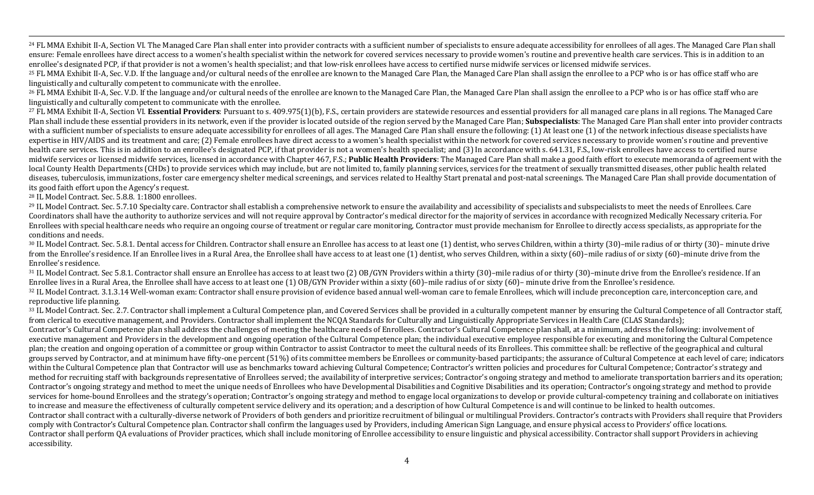<sup>24</sup> FL MMA Exhibit II-A, Section VI. The Managed Care Plan shall enter into provider contracts with a sufficient number of specialists to ensure adequate accessibility for enrollees of all ages. The Managed Care Plan shal ensure: Female enrollees have direct access to a women's health specialist within the network for covered services necessary to provide women's routine and preventive health care services. This is in addition to an enrollee's designated PCP, if that provider is not a women's health specialist; and that low-risk enrollees have access to certified nurse midwife services or licensed midwife services.

,一个人都没有,他们的人都没有,他们的人都没有,他们的人都没有,他们的人都没有,他们的人都没有,他们的人都没有,他们的人都是不是,他们的人都是不是,他们的人都是<br>第251章 我们的人都是不是,他们的人都是不是,他们的人都是不是,他们的人都是不是,他们的人都是不是,他们的人都是不是,他们的人都是不是,他们的人都是不是不是,

<sup>25</sup> FL MMA Exhibit II-A, Sec. V.D. If the language and/or cultural needs of the enrollee are known to the Managed Care Plan, the Managed Care Plan shall assign the enrollee to a PCP who is or has office staff who are linguistically and culturally competent to communicate with the enrollee.

<sup>26</sup> FL MMA Exhibit II-A, Sec. V.D. If the language and/or cultural needs of the enrollee are known to the Managed Care Plan, the Managed Care Plan shall assign the enrollee to a PCP who is or has office staff who are linguistically and culturally competent to communicate with the enrollee.

<sup>27</sup> FL MMA Exhibit II-A, Section VI. Essential Providers: Pursuant to s. 409.975(1)(b), F.S., certain providers are statewide resources and essential providers for all managed care plans in all regions. The Managed Care Plan shall include these essential providers in its network, even if the provider is located outside of the region served by the Managed Care Plan; **Subspecialists**: The Managed Care Plan shall enter into provider contract with a sufficient number of specialists to ensure adequate accessibility for enrollees of all ages. The Managed Care Plan shall ensure the following: (1) At least one (1) of the network infectious disease specialists have expertise in HIV/AIDS and its treatment and care; (2) Female enrollees have direct access to a women's health specialist within the network for covered services necessary to provide women's routine and preventive health care services. This is in addition to an enrollee's designated PCP, if that provider is not a women's health specialist; and (3) In accordance with s. 641.31, F.S., low-risk enrollees have access to certified nurse midwife services or licensed midwife services, licensed in accordance with Chapter 467, F.S.; **Public Health Providers**: The Managed Care Plan shall make a good faith effort to execute memoranda of agreement with the local County Health Departments (CHDs) to provide services which may include, but are not limited to, family planning services, services for the treatment of sexually transmitted diseases, other public health related diseases, tuberculosis, immunizations, foster care emergency shelter medical screenings, and services related to Healthy Start prenatal and post-natal screenings. The Managed Care Plan shall provide documentation of its good faith effort upon the Agency's request.

<sup>28</sup> IL Model Contract. Sec. 5.8.8. 1:1800 enrollees.

<sup>29</sup> IL Model Contract. Sec. 5.7.10 Specialty care. Contractor shall establish a comprehensive network to ensure the availability and accessibility of specialists and subspecialists to meet the needs of Enrollees. Care Coordinators shall have the authority to authorize services and will not require approval by Contractor's medical director for the majority of services in accordance with recognized Medically Necessary criteria. For Enrollees with special healthcare needs who require an ongoing course of treatment or regular care monitoring, Contractor must provide mechanism for Enrollee to directly access specialists, as appropriate for the conditions and needs.

30 IL Model Contract. Sec. 5.8.1. Dental access for Children. Contractor shall ensure an Enrollee has access to at least one (1) dentist, who serves Children, within a thirty (30)–mile radius of or thirty (30)– minute driv from the Enrollee's residence. If an Enrollee lives in a Rural Area, the Enrollee shall have access to at least one (1) dentist, who serves Children, within a sixty (60)–mile radius of or sixty (60)–minute drive from the Enrollee's residence.

31 IL Model Contract. Sec 5.8.1. Contractor shall ensure an Enrollee has access to at least two (2) OB/GYN Providers within a thirty (30)–mile radius of or thirty (30)–minute drive from the Enrollee's residence. If an Enrollee lives in a Rural Area, the Enrollee shall have access to at least one  $(1)$  OB/GYN Provider within a sixty  $(60)$ –mile radius of or sixty  $(60)$ – minute drive from the Enrollee's residence.

<sup>32</sup> IL Model Contract. 3.1.3.14 Well-woman exam: Contractor shall ensure provision of evidence based annual well-woman care to female Enrollees, which will include preconception care, interconception care, and reproductive life planning.

33 IL Model Contract. Sec. 2.7. Contractor shall implement a Cultural Competence plan, and Covered Services shall be provided in a culturally competent manner by ensuring the Cultural Competence of all Contractor staff, from clerical to executive management, and Providers. Contractor shall implement the NCQA Standards for Culturally and Linguistically Appropriate Services in Health Care (CLAS Standards);

Contractor's Cultural Competence plan shall address the challenges of meeting the healthcare needs of Enrollees. Contractor's Cultural Competence plan shall, at a minimum, address the following: involvement of executive management and Providers in the development and ongoing operation of the Cultural Competence plan; the individual executive employee responsible for executing and monitoring the Cultural Competence plan; the creation and ongoing operation of a committee or group within Contractor to assist Contractor to meet the cultural needs of its Enrollees. This committee shall: be reflective of the geographical and cultural groups served by Contractor, and at minimum have fifty-one percent (51%) of its committee members be Enrollees or community-based participants; the assurance of Cultural Competence at each level of care; indicators within the Cultural Competence plan that Contractor will use as benchmarks toward achieving Cultural Competence; Contractor's written policies and procedures for Cultural Competence; Contractor's strategy and method for recruiting staff with backgrounds representative of Enrollees served; the availability of interpretive services; Contractor's ongoing strategy and method to ameliorate transportation barriers and its operation; Contractor's ongoing strategy and method to meet the unique needs of Enrollees who have Developmental Disabilities and Cognitive Disabilities and its operation; Contractor's ongoing strategy and method to provide services for home-bound Enrollees and the strategy's operation; Contractor's ongoing strategy and method to engage local organizations to develop or provide cultural-competency training and collaborate on initiatives to increase and measure the effectiveness of culturally competent service delivery and its operation; and a description of how Cultural Competence is and will continue to be linked to health outcomes. Contractor shall contract with a culturally-diverse network of Providers of both genders and prioritize recruitment of bilingual or multilingual Providers. Contractor's contracts with Providers shall require that Providers comply with Contractor's Cultural Competence plan. Contractor shall confirm the languages used by Providers, including American Sign Language, and ensure physical access to Providers' office locations. Contractor shall perform OA evaluations of Provider practices, which shall include monitoring of Enrollee accessibility to ensure linguistic and physical accessibility. Contractor shall support Providers in achieving accessibility.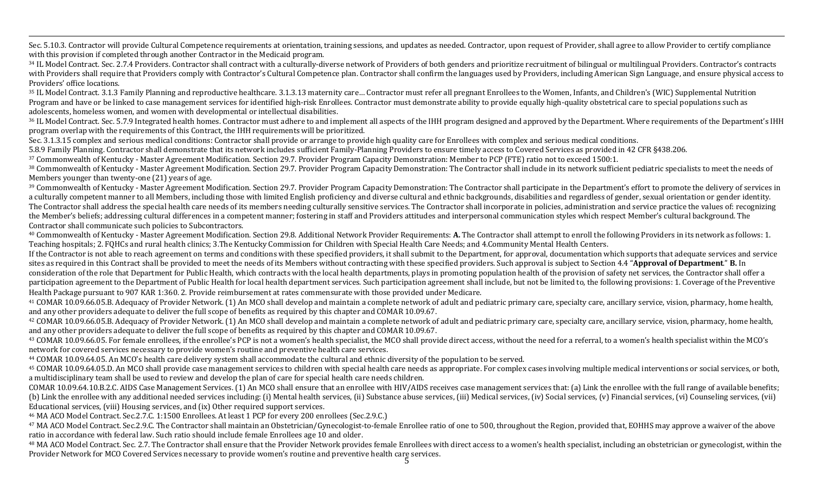,一个人都没有,他们的人都没有,他们的人都没有,他们的人都没有,他们的人都没有,他们的人都没有,他们的人都没有,他们的人都是不是,他们的人都是不是,他们的人都是<br>第251章 我们的人都是不是,他们的人都是不是,他们的人都是不是,他们的人都是不是,他们的人都是不是,他们的人都是不是,他们的人都是不是,他们的人都是不是不是, Sec. 5.10.3. Contractor will provide Cultural Competence requirements at orientation, training sessions, and updates as needed. Contractor, upon request of Provider, shall agree to allow Provider to certify compliance with this provision if completed through another Contractor in the Medicaid program.

34 IL Model Contract. Sec. 2.7.4 Providers. Contractor shall contract with a culturally-diverse network of Providers of both genders and prioritize recruitment of bilingual or multilingual Providers. Contractor's contracts with Providers shall require that Providers comply with Contractor's Cultural Competence plan. Contractor shall confirm the languages used by Providers, including American Sign Language, and ensure physical access to Providers' office locations.

35 IL Model Contract. 3.1.3 Family Planning and reproductive healthcare. 3.1.3.13 maternity care... Contractor must refer all pregnant Enrollees to the Women, Infants, and Children's (WIC) Supplemental Nutrition Program and have or be linked to case management services for identified high-risk Enrollees. Contractor must demonstrate ability to provide equally high-quality obstetrical care to special populations such as adolescents, homeless women, and women with developmental or intellectual disabilities.

<sup>36</sup> IL Model Contract. Sec. 5.7.9 Integrated health homes. Contractor must adhere to and implement all aspects of the IHH program designed and approved by the Department. Where requirements of the Department's IHH program overlap with the requirements of this Contract, the IHH requirements will be prioritized.

Sec. 3.1.3.15 complex and serious medical conditions: Contractor shall provide or arrange to provide high quality care for Enrollees with complex and serious medical conditions.

5.8.9 Family Planning. Contractor shall demonstrate that its network includes sufficient Family-Planning Providers to ensure timely access to Covered Services as provided in 42 CFR §438.206.

<sup>37</sup> Commonwealth of Kentucky - Master Agreement Modification. Section 29.7. Provider Program Capacity Demonstration: Member to PCP (FTE) ratio not to exceed 1500:1.

<sup>38</sup> Commonwealth of Kentucky - Master Agreement Modification. Section 29.7. Provider Program Capacity Demonstration: The Contractor shall include in its network sufficient pediatric specialists to meet the needs of Members younger than twenty-one  $(21)$  years of age.

<sup>39</sup> Commonwealth of Kentucky - Master Agreement Modification. Section 29.7. Provider Program Capacity Demonstration: The Contractor shall participate in the Department's effort to promote the delivery of services in a culturally competent manner to all Members, including those with limited English proficiency and diverse cultural and ethnic backgrounds, disabilities and regardless of gender, sexual orientation or gender identity. The Contractor shall address the special health care needs of its members needing culturally sensitive services. The Contractor shall incorporate in policies, administration and service practice the values of: recognizing the Member's beliefs; addressing cultural differences in a competent manner; fostering in staff and Providers attitudes and interpersonal communication styles which respect Member's cultural background. The Contractor shall communicate such policies to Subcontractors.

<sup>40</sup> Commonwealth of Kentucky - Master Agreement Modification. Section 29.8. Additional Network Provider Requirements: **A.** The Contractor shall attempt to enroll the following Providers in its network as follows: 1. Teaching hospitals; 2. FQHCs and rural health clinics; 3.The Kentucky Commission for Children with Special Health Care Needs; and 4.Community Mental Health Centers.

If the Contractor is not able to reach agreement on terms and conditions with these specified providers, it shall submit to the Department, for approval, documentation which supports that adequate services and service sites as required in this Contract shall be provided to meet the needs of its Members without contracting with these specified providers. Such approval is subject to Section 4.4 "**Approval of Department**." **B.** In consideration of the role that Department for Public Health, which contracts with the local health departments, plays in promoting population health of the provision of safety net services, the Contractor shall offer a participation agreement to the Department of Public Health for local health department services. Such participation agreement shall include, but not be limited to, the following provisions: 1. Coverage of the Preventive Health Package pursuant to 907 KAR 1:360. 2. Provide reimbursement at rates commensurate with those provided under Medicare.

<sup>41</sup> COMAR 10.09.66.05.B. Adequacy of Provider Network. (1) An MCO shall develop and maintain a complete network of adult and pediatric primary care, specialty care, ancillary service, vision, pharmacy, home health, and any other providers adequate to deliver the full scope of benefits as required by this chapter and COMAR 10.09.67.

<sup>42</sup> COMAR 10.09.66.05.B. Adequacy of Provider Network. (1) An MCO shall develop and maintain a complete network of adult and pediatric primary care, specialty care, ancillary service, vision, pharmacy, home health, and any other providers adequate to deliver the full scope of benefits as required by this chapter and COMAR 10.09.67.

<sup>43</sup> COMAR 10.09.66.05. For female enrollees, if the enrollee's PCP is not a women's health specialist, the MCO shall provide direct access, without the need for a referral, to a women's health specialist within the MCO's network for covered services necessary to provide women's routine and preventive health care services.

<sup>44</sup> COMAR 10.09.64.05. An MCO's health care delivery system shall accommodate the cultural and ethnic diversity of the population to be served.

<sup>45</sup> COMAR 10.09.64.05.D. An MCO shall provide case management services to children with special health care needs as appropriate. For complex cases involving multiple medical interventions or social services, or both, a multidisciplinary team shall be used to review and develop the plan of care for special health care needs children.

COMAR 10.09.64.10.B.2.C. AIDS Case Management Services. (1) An MCO shall ensure that an enrollee with HIV/AIDS receives case management services that: (a) Link the enrollee with the full range of available benefits; (b) Link the enrollee with any additional needed services including: (i) Mental health services, (ii) Substance abuse services, (iii) Medical services, (iv) Social services, (v) Financial services, (vi) Counseling services Educational services, (viii) Housing services, and (ix) Other required support services.

<sup>46</sup> MA ACO Model Contract. Sec.2.7.C. 1:1500 Enrollees. At least 1 PCP for every 200 enrollees (Sec.2.9.C.)

<sup>47</sup> MA ACO Model Contract. Sec.2.9.C. The Contractor shall maintain an Obstetrician/Gynecologist-to-female Enrollee ratio of one to 500, throughout the Region, provided that, EOHHS may approve a waiver of the above ratio in accordance with federal law. Such ratio should include female Enrollees age 10 and older.

<sup>48</sup> MA ACO Model Contract. Sec. 2.7. The Contractor shall ensure that the Provider Network provides female Enrollees with direct access to a women's health specialist, including an obstetrician or gynecologist, within the Provider Network for MCO Covered Services necessary to provide women's routine and preventive health care services.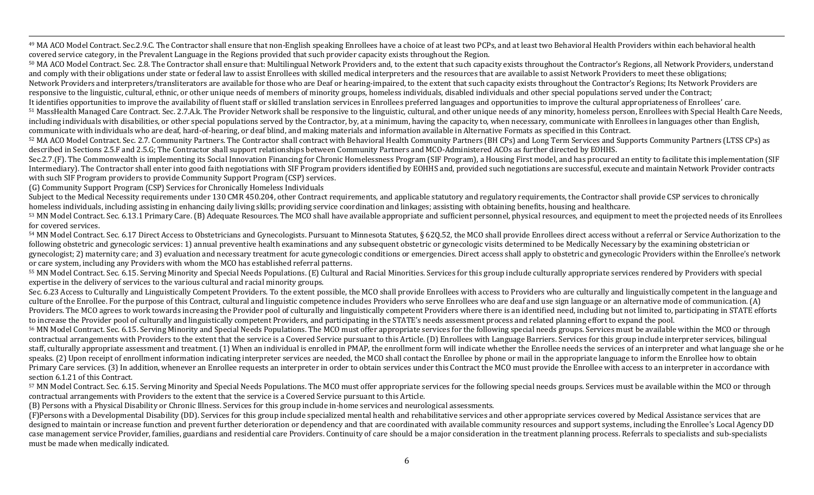<sup>49</sup> MA ACO Model Contract. Sec.2.9.C. The Contractor shall ensure that non-English speaking Enrollees have a choice of at least two PCPs, and at least two Behavioral Health Providers within each behavioral health covered service category, in the Prevalent Language in the Regions provided that such provider capacity exists throughout the Region.

50 MA ACO Model Contract. Sec. 2.8. The Contractor shall ensure that: Multilingual Network Providers and, to the extent that such capacity exists throughout the Contractor's Regions, all Network Providers, understand and comply with their obligations under state or federal law to assist Enrollees with skilled medical interpreters and the resources that are available to assist Network Providers to meet these obligations; Network Providers and interpreters/transliterators are available for those who are Deaf or hearing-impaired, to the extent that such capacity exists throughout the Contractor's Regions; Its Network Providers are responsive to the linguistic, cultural, ethnic, or other unique needs of members of minority groups, homeless individuals, disabled individuals and other special populations served under the Contract;

,一个人都没有,他们的人都没有,他们的人都没有,他们的人都没有,他们的人都没有,他们的人都没有,他们的人都没有,他们的人都是不是,他们的人都是不是,他们的人都是<br>第251章 我们的人都是不是,他们的人都是不是,他们的人都是不是,他们的人都是不是,他们的人都是不是,他们的人都是不是,他们的人都是不是,他们的人都是不是不是,

It identifies opportunities to improve the availability of fluent staff or skilled translation services in Enrollees preferred languages and opportunities to improve the cultural appropriateness of Enrollees' care. 51 MassHealth Managed Care Contract. Sec. 2.7.A.k. The Provider Network shall be responsive to the linguistic, cultural, and other unique needs of any minority, homeless person, Enrollees with Special Health Care Needs, including individuals with disabilities, or other special populations served by the Contractor, by, at a minimum, having the capacity to, when necessary, communicate with Enrollees in languages other than English, communicate with individuals who are deaf, hard-of-hearing, or deaf blind, and making materials and information available in Alternative Formats as specified in this Contract.

52 MA ACO Model Contract. Sec. 2.7. Community Partners. The Contractor shall contract with Behavioral Health Community Partners (BH CPs) and Long Term Services and Supports Community Partners (LTSS CPs) as described in Sections 2.5.F and 2.5.G; The Contractor shall support relationships between Community Partners and MCO-Administered ACOs as further directed by EOHHS.

Sec.2.7.(F). The Commonwealth is implementing its Social Innovation Financing for Chronic Homelessness Program (SIF Program), a Housing First model, and has procured an entity to facilitate this implementation (SIF Intermediary). The Contractor shall enter into good faith negotiations with SIF Program providers identified by EOHHS and, provided such negotiations are successful, execute and maintain Network Provider contracts with such SIF Program providers to provide Community Support Program (CSP) services.

(G) Community Support Program (CSP) Services for Chronically Homeless Individuals

Subject to the Medical Necessity requirements under 130 CMR 450.204, other Contract requirements, and applicable statutory and regulatory requirements, the Contractor shall provide CSP services to chronically homeless individuals, including assisting in enhancing daily living skills; providing service coordination and linkages; assisting with obtaining benefits, housing and healthcare.

53 MN Model Contract. Sec. 6.13.1 Primary Care. (B) Adequate Resources. The MCO shall have available appropriate and sufficient personnel, physical resources, and equipment to meet the projected needs of its Enrollees for covered services.

54 MN Model Contract. Sec. 6.17 Direct Access to Obstetricians and Gynecologists. Pursuant to Minnesota Statutes, § 620.52, the MCO shall provide Enrollees direct access without a referral or Service Authorization to the following obstetric and gynecologic services: 1) annual preventive health examinations and any subsequent obstetric or gynecologic visits determined to be Medically Necessary by the examining obstetrician or gynecologist; 2) maternity care; and 3) evaluation and necessary treatment for acute gynecologic conditions or emergencies. Direct access shall apply to obstetric and gynecologic Providers within the Enrollee's network or care system, including any Providers with whom the MCO has established referral patterns.

55 MN Model Contract. Sec. 6.15. Serving Minority and Special Needs Populations. (E) Cultural and Racial Minorities. Services for this group include culturally appropriate services rendered by Providers with special expertise in the delivery of services to the various cultural and racial minority groups.

Sec. 6.23 Access to Culturally and Linguistically Competent Providers. To the extent possible, the MCO shall provide Enrollees with access to Providers who are culturally and linguistically competent in the language and culture of the Enrollee. For the purpose of this Contract, cultural and linguistic competence includes Providers who serve Enrollees who are deaf and use sign language or an alternative mode of communication. (A) Providers. The MCO agrees to work towards increasing the Provider pool of culturally and linguistically competent Providers where there is an identified need, including but not limited to, participating in STATE efforts to increase the Provider pool of culturally and linguistically competent Providers, and participating in the STATE's needs assessment process and related planning effort to expand the pool.

<sup>56</sup> MN Model Contract. Sec. 6.15. Serving Minority and Special Needs Populations. The MCO must offer appropriate services for the following special needs groups. Services must be available within the MCO or through contractual arrangements with Providers to the extent that the service is a Covered Service pursuant to this Article. (D) Enrollees with Language Barriers. Services for this group include interpreter services, bilingual staff, culturally appropriate assessment and treatment. (1) When an individual is enrolled in PMAP, the enrollment form will indicate whether the Enrollee needs the services of an interpreter and what language she or he speaks. (2) Upon receipt of enrollment information indicating interpreter services are needed, the MCO shall contact the Enrollee by phone or mail in the appropriate language to inform the Enrollee how to obtain Primary Care services. (3) In addition, whenever an Enrollee requests an interpreter in order to obtain services under this Contract the MCO must provide the Enrollee with access to an interpreter in accordance with section 6.1.21 of this Contract.

57 MN Model Contract. Sec. 6.15. Serving Minority and Special Needs Populations. The MCO must offer appropriate services for the following special needs groups. Services must be available within the MCO or through contractual arrangements with Providers to the extent that the service is a Covered Service pursuant to this Article.

(B) Persons with a Physical Disability or Chronic Illness. Services for this group include in-home services and neurological assessments.

(F)Persons with a Developmental Disability (DD). Services for this group include specialized mental health and rehabilitative services and other appropriate services covered by Medical Assistance services that are designed to maintain or increase function and prevent further deterioration or dependency and that are coordinated with available community resources and support systems, including the Enrollee's Local Agency DD case management service Provider, families, guardians and residential care Providers. Continuity of care should be a major consideration in the treatment planning process. Referrals to specialists and sub-specialists must be made when medically indicated.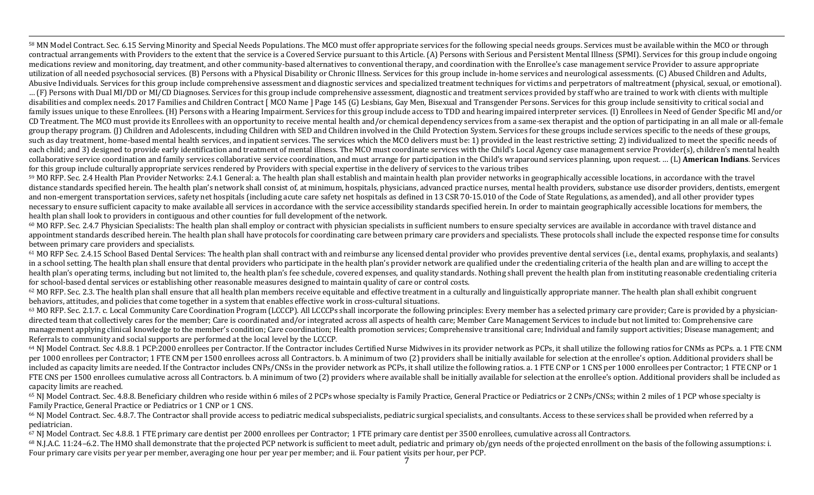58 MN Model Contract. Sec. 6.15 Serving Minority and Special Needs Populations. The MCO must offer appropriate services for the following special needs groups. Services must be available within the MCO or through contractual arrangements with Providers to the extent that the service is a Covered Service pursuant to this Article. (A) Persons with Serious and Persistent Mental Illness (SPMI). Services for this group include ongoing medications review and monitoring, day treatment, and other community-based alternatives to conventional therapy, and coordination with the Enrollee's case management service Provider to assure appropriate utilization of all needed psychosocial services. (B) Persons with a Physical Disability or Chronic Illness. Services for this group include in-home services and neurological assessments. (C) Abused Children and Adults, Abusive Individuals. Services for this group include comprehensive assessment and diagnostic services and specialized treatment techniques for victims and perpetrators of maltreatment (physical, sexual, or emotional). ... (F) Persons with Dual MI/DD or MI/CD Diagnoses. Services for this group include comprehensive assessment, diagnostic and treatment services provided by staff who are trained to work with clients with multiple disabilities and complex needs. 2017 Families and Children Contract [MCO Name ] Page 145 (G) Lesbians, Gay Men, Bisexual and Transgender Persons. Services for this group include sensitivity to critical social and family issues unique to these Enrollees. (H) Persons with a Hearing Impairment. Services for this group include access to TDD and hearing impaired interpreter services. (I) Enrollees in Need of Gender Specific MI and/or CD Treatment. The MCO must provide its Enrollees with an opportunity to receive mental health and/or chemical dependency services from a same-sex therapist and the option of participating in an all male or all-female group therapy program. (J) Children and Adolescents, including Children with SED and Children involved in the Child Protection System. Services for these groups include services specific to the needs of these groups, such as day treatment, home-based mental health services, and inpatient services. The services which the MCO delivers must be: 1) provided in the least restrictive setting; 2) individualized to meet the specific needs of each child; and 3) designed to provide early identification and treatment of mental illness. The MCO must coordinate services with the Child's Local Agency case management service Provider(s), children's mental health collaborative service coordination and family services collaborative service coordination, and must arrange for participation in the Child's wraparound services planning, upon request. … (L) **American Indians**. Services for this group include culturally appropriate services rendered by Providers with special expertise in the delivery of services to the various tribes

,一个人都没有,他们的人都没有,他们的人都没有,他们的人都没有,他们的人都没有,他们的人都没有,他们的人都没有,他们的人都是不是,他们的人都是不是,他们的人都是<br>第251章 我们的人都是不是,他们的人都是不是,他们的人都是不是,他们的人都是不是,他们的人都是不是,他们的人都是不是,他们的人都是不是,他们的人都是不是不是,

59 MO RFP. Sec. 2.4 Health Plan Provider Networks: 2.4.1 General: a. The health plan shall establish and maintain health plan provider networks in geographically accessible locations, in accordance with the travel distance standards specified herein. The health plan's network shall consist of, at minimum, hospitals, physicians, advanced practice nurses, mental health providers, substance use disorder providers, dentists, emergent and non-emergent transportation services, safety net hospitals (including acute care safety net hospitals as defined in 13 CSR 70-15.010 of the Code of State Regulations, as amended), and all other provider types necessary to ensure sufficient capacity to make available all services in accordance with the service accessibility standards specified herein. In order to maintain geographically accessible locations for members, the health plan shall look to providers in contiguous and other counties for full development of the network.

 $60$  MO RFP. Sec. 2.4.7 Physician Specialists: The health plan shall employ or contract with physician specialists in sufficient numbers to ensure specialty services are available in accordance with travel distance and appointment standards described herein. The health plan shall have protocols for coordinating care between primary care providers and specialists. These protocols shall include the expected response time for consults between primary care providers and specialists.

<sup>61</sup> MO RFP Sec. 2.4.15 School Based Dental Services: The health plan shall contract with and reimburse any licensed dental provider who provides preventive dental services (i.e., dental exams, prophylaxis, and sealants) in a school setting. The health plan shall ensure that dental providers who participate in the health plan's provider network are qualified under the credentialing criteria of the health plan and are willing to accept the health plan's operating terms, including but not limited to, the health plan's fee schedule, covered expenses, and quality standards. Nothing shall prevent the health plan from instituting reasonable credentialing criteria for school-based dental services or establishing other reasonable measures designed to maintain quality of care or control costs.

 $62$  MO RFP. Sec. 2.3. The health plan shall ensure that all health plan members receive equitable and effective treatment in a culturally and linguistically appropriate manner. The health plan shall exhibit congruent behaviors, attitudes, and policies that come together in a system that enables effective work in cross-cultural situations.

<sup>63</sup> MO RFP. Sec. 2.1.7. c. Local Community Care Coordination Program (LCCCP). All LCCCPs shall incorporate the following principles: Every member has a selected primary care provider; Care is provided by a physiciandirected team that collectively cares for the member; Care is coordinated and/or integrated across all aspects of health care; Member Care Management Services to include but not limited to: Comprehensive care management applying clinical knowledge to the member's condition; Care coordination; Health promotion services; Comprehensive transitional care; Individual and family support activities; Disease management; and Referrals to community and social supports are performed at the local level by the LCCCP.

 $64$  NJ Model Contract. Sec 4.8.8. 1 PCP:2000 enrollees per Contractor. If the Contractor includes Certified Nurse Midwives in its provider network as PCPs, it shall utilize the following ratios for CNMs as PCPs. a. 1 FTE per 1000 enrollees per Contractor; 1 FTE CNM per 1500 enrollees across all Contractors. b. A minimum of two (2) providers shall be initially available for selection at the enrollee's option. Additional providers shall be included as capacity limits are needed. If the Contractor includes CNPs/CNSs in the provider network as PCPs, it shall utilize the following ratios. a. 1 FTE CNP or 1 CNS per 1000 enrollees per Contractor; 1 FTE CNP or 1 FTE CNS per 1500 enrollees cumulative across all Contractors. b. A minimum of two (2) providers where available shall be initially available for selection at the enrollee's option. Additional providers shall be included a capacity limits are reached.

 $65$  NJ Model Contract. Sec. 4.8.8. Beneficiary children who reside within 6 miles of 2 PCPs whose specialty is Family Practice, General Practice or Pediatrics or 2 CNPs/CNSs; within 2 miles of 1 PCP whose specialty is Family Practice, General Practice or Pediatrics or 1 CNP or 1 CNS.

<sup>66</sup> NJ Model Contract. Sec. 4.8.7. The Contractor shall provide access to pediatric medical subspecialists, pediatric surgical specialists, and consultants. Access to these services shall be provided when referred by a pediatrician.

67 NJ Model Contract. Sec 4.8.8. 1 FTE primary care dentist per 2000 enrollees per Contractor; 1 FTE primary care dentist per 3500 enrollees, cumulative across all Contractors.

 $^{68}$  N.J.A.C. 11:24–6.2. The HMO shall demonstrate that the projected PCP network is sufficient to meet adult, pediatric and primary ob/gyn needs of the projected enrollment on the basis of the following assumptions: i. Four primary care visits per year per member, averaging one hour per year per member; and ii. Four patient visits per hour, per PCP.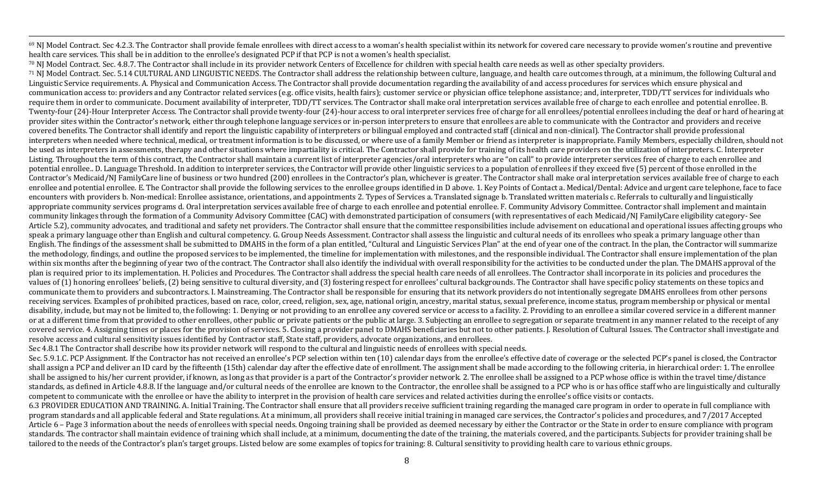<sup>69</sup> NJ Model Contract. Sec 4.2.3. The Contractor shall provide female enrollees with direct access to a woman's health specialist within its network for covered care necessary to provide women's routine and preventive health care services. This shall be in addition to the enrollee's designated PCP if that PCP is not a women's health specialist.

,一个人都没有,他们的人都没有,他们的人都没有,他们的人都没有,他们的人都没有,他们的人都没有,他们的人都没有,他们的人都是不是,他们的人都是不是,他们的人都是<br>第251章 我们的人都是不是,他们的人都是不是,他们的人都是不是,他们的人都是不是,他们的人都是不是,他们的人都是不是,他们的人都是不是,他们的人都是不是不是,

70 NJ Model Contract. Sec. 4.8.7. The Contractor shall include in its provider network Centers of Excellence for children with special health care needs as well as other specialty providers. <sup>71</sup> NJ Model Contract. Sec. 5.14 CULTURAL AND LINGUISTIC NEEDS. The Contractor shall address the relationship between culture, language, and health care outcomes through, at a minimum, the following Cultural and Linguistic Service requirements. A. Physical and Communication Access. The Contractor shall provide documentation regarding the availability of and access procedures for services which ensure physical and communication access to: providers and any Contractor related services (e.g. office visits, health fairs); customer service or physician office telephone assistance; and, interpreter, TDD/TT services for individuals who require them in order to communicate. Document availability of interpreter, TDD/TT services. The Contractor shall make oral interpretation services available free of charge to each enrollee and potential enrollee. B. Twenty-four (24)-Hour Interpreter Access. The Contractor shall provide twenty-four (24)-hour access to oral interpreter services free of charge for all enrollees/potential enrollees including the deaf or hard of hearing at provider sites within the Contractor's network, either through telephone language services or in-person interpreters to ensure that enrollees are able to communicate with the Contractor and providers and receive covered benefits. The Contractor shall identify and report the linguistic capability of interpreters or bilingual employed and contracted staff (clinical and non-clinical). The Contractor shall provide professional interpreters when needed where technical, medical, or treatment information is to be discussed, or where use of a family Member or friend as interpreter is inappropriate. Family Members, especially children, should not be used as interpreters in assessments, therapy and other situations where impartiality is critical. The Contractor shall provide for training of its health care providers on the utilization of interpreters. C. Interpreter Listing. Throughout the term of this contract, the Contractor shall maintain a current list of interpreter agencies/oral interpreters who are "on call" to provide interpreter services free of charge to each enrollee and potential enrollee.. D. Language Threshold. In addition to interpreter services, the Contractor will provide other linguistic services to a population of enrollees if they exceed five (5) percent of those enrolled in the Contractor's Medicaid/NJ FamilyCare line of business or two hundred (200) enrollees in the Contractor's plan, whichever is greater. The Contractor shall make oral interpretation services available free of charge to each enrollee and potential enrollee. E. The Contractor shall provide the following services to the enrollee groups identified in D above. 1. Key Points of Contact a. Medical/Dental: Advice and urgent care telephone, face to fa encounters with providers b. Non-medical: Enrollee assistance, orientations, and appointments 2. Types of Services a. Translated signage b. Translated written materials c. Referrals to culturally and linguistically appropriate community services programs d. Oral interpretation services available free of charge to each enrollee and potential enrollee. F. Community Advisory Committee. Contractor shall implement and maintain community linkages through the formation of a Community Advisory Committee (CAC) with demonstrated participation of consumers (with representatives of each Medicaid/NJ FamilyCare eligibility category- See Article 5.2), community advocates, and traditional and safety net providers. The Contractor shall ensure that the committee responsibilities include advisement on educational and operational issues affecting groups who speak a primary language other than English and cultural competency. G. Group Needs Assessment. Contractor shall assess the linguistic and cultural needs of its enrollees who speak a primary language other than English. The findings of the assessment shall be submitted to DMAHS in the form of a plan entitled, "Cultural and Linguistic Services Plan" at the end of year one of the contract. In the plan, the Contractor will summarize the methodology, findings, and outline the proposed services to be implemented, the timeline for implementation with milestones, and the responsible individual. The Contractor shall ensure implementation of the plan within six months after the beginning of year two of the contract. The Contractor shall also identify the individual with overall responsibility for the activities to be conducted under the plan. The DMAHS approval of the plan is required prior to its implementation. H. Policies and Procedures. The Contractor shall address the special health care needs of all enrollees. The Contractor shall incorporate in its policies and procedures the values of (1) honoring enrollees' beliefs, (2) being sensitive to cultural diversity, and (3) fostering respect for enrollees' cultural backgrounds. The Contractor shall have specific policy statements on these topics and communicate them to providers and subcontractors. I. Mainstreaming. The Contractor shall be responsible for ensuring that its network providers do not intentionally segregate DMAHS enrollees from other persons receiving services. Examples of prohibited practices, based on race, color, creed, religion, sex, age, national origin, ancestry, marital status, sexual preference, income status, program membership or physical or mental disability, include, but may not be limited to, the following: 1. Denying or not providing to an enrollee any covered service or access to a facility. 2. Providing to an enrollee a similar covered service in a different ma or at a different time from that provided to other enrollees, other public or private patients or the public at large. 3. Subjecting an enrollee to segregation or separate treatment in any manner related to the receipt of covered service. 4. Assigning times or places for the provision of services. 5. Closing a provider panel to DMAHS beneficiaries but not to other patients. J. Resolution of Cultural Issues. The Contractor shall investigate resolve access and cultural sensitivity issues identified by Contractor staff, State staff, providers, advocate organizations, and enrollees.

Sec 4.8.1 The Contractor shall describe how its provider network will respond to the cultural and linguistic needs of enrollees with special needs.

Sec. 5.9.1.C. PCP Assignment. If the Contractor has not received an enrollee's PCP selection within ten (10) calendar days from the enrollee's effective date of coverage or the selected PCP's panel is closed, the Contracto shall assign a PCP and deliver an ID card by the fifteenth (15th) calendar day after the effective date of enrollment. The assignment shall be made according to the following criteria, in hierarchical order: 1. The enrolle shall be assigned to his/her current provider, if known, as long as that provider is a part of the Contractor's provider network. 2. The enrollee shall be assigned to a PCP whose office is within the travel time/distance standards, as defined in Article 4.8.8. If the language and/or cultural needs of the enrollee are known to the Contractor, the enrollee shall be assigned to a PCP who is or has office staff who are linguistically and cultu competent to communicate with the enrollee or have the ability to interpret in the provision of health care services and related activities during the enrollee's office visits or contacts.

6.3 PROVIDER EDUCATION AND TRAINING. A. Initial Training. The Contractor shall ensure that all providers receive sufficient training regarding the managed care program in order to operate in full compliance with program standards and all applicable federal and State regulations. At a minimum, all providers shall receive initial training in managed care services, the Contractor's policies and procedures, and 7/2017 Accepted Article 6 – Page 3 information about the needs of enrollees with special needs. Ongoing training shall be provided as deemed necessary by either the Contractor or the State in order to ensure compliance with program standards. The contractor shall maintain evidence of training which shall include, at a minimum, documenting the date of the training, the materials covered, and the participants. Subjects for provider training shall be tailored to the needs of the Contractor's plan's target groups. Listed below are some examples of topics for training: 8. Cultural sensitivity to providing health care to various ethnic groups.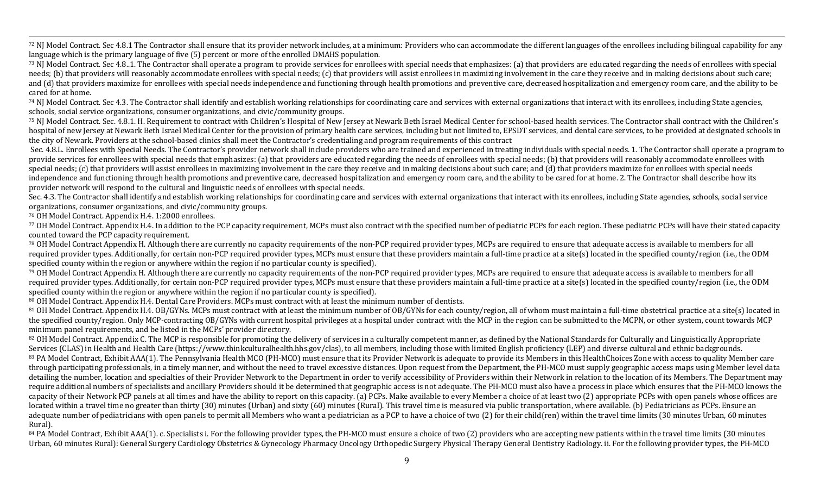,一个人都没有,他们的人都没有,他们的人都没有,他们的人都没有,他们的人都没有,他们的人都没有,他们的人都没有,他们的人都是不是,他们的人都是不是,他们的人都是<br>第251章 我们的人都是不是,他们的人都是不是,他们的人都是不是,他们的人都是不是,他们的人都是不是,他们的人都是不是,他们的人都是不是,他们的人都是不是不是, 72 NJ Model Contract. Sec 4.8.1 The Contractor shall ensure that its provider network includes, at a minimum: Providers who can accommodate the different languages of the enrollees including bilingual capability for any language which is the primary language of five (5) percent or more of the enrolled DMAHS population.

<sup>73</sup> NJ Model Contract. Sec 4.8..1. The Contractor shall operate a program to provide services for enrollees with special needs that emphasizes: (a) that providers are educated regarding the needs of enrollees with special needs; (b) that providers will reasonably accommodate enrollees with special needs; (c) that providers will assist enrollees in maximizing involvement in the care they receive and in making decisions about such care; and (d) that providers maximize for enrollees with special needs independence and functioning through health promotions and preventive care, decreased hospitalization and emergency room care, and the ability to be cared for at home.

 $74$  NJ Model Contract. Sec 4.3. The Contractor shall identify and establish working relationships for coordinating care and services with external organizations that interact with its enrollees, including State agencies, schools, social service organizations, consumer organizations, and civic/community groups.

<sup>75</sup> NJ Model Contract. Sec. 4.8.1. H. Requirement to contract with Children's Hospital of New Jersey at Newark Beth Israel Medical Center for school-based health services. The Contractor shall contract with the Children's hospital of new Jersey at Newark Beth Israel Medical Center for the provision of primary health care services, including but not limited to, EPSDT services, and dental care services, to be provided at designated schools in the city of Newark. Providers at the school-based clinics shall meet the Contractor's credentialing and program requirements of this contract

Sec. 4.8.L. Enrollees with Special Needs. The Contractor's provider network shall include providers who are trained and experienced in treating individuals with special needs. 1. The Contractor shall operate a program to provide services for enrollees with special needs that emphasizes: (a) that providers are educated regarding the needs of enrollees with special needs; (b) that providers will reasonably accommodate enrollees with special needs; (c) that providers will assist enrollees in maximizing involvement in the care they receive and in making decisions about such care; and (d) that providers maximize for enrollees with special needs independence and functioning through health promotions and preventive care, decreased hospitalization and emergency room care, and the ability to be cared for at home. 2. The Contractor shall describe how its provider network will respond to the cultural and linguistic needs of enrollees with special needs.

Sec. 4.3. The Contractor shall identify and establish working relationships for coordinating care and services with external organizations that interact with its enrollees, including State agencies, schools, social service organizations, consumer organizations, and civic/community groups.

<sup>76</sup> OH Model Contract. Appendix H.4. 1:2000 enrollees.

77 OH Model Contract. Appendix H.4. In addition to the PCP capacity requirement, MCPs must also contract with the specified number of pediatric PCPs for each region. These pediatric PCPs will have their stated capacity counted toward the PCP capacity requirement.

78 OH Model Contract Appendix H. Although there are currently no capacity requirements of the non-PCP required provider types, MCPs are required to ensure that adequate access is available to members for all required provider types. Additionally, for certain non-PCP required provider types, MCPs must ensure that these providers maintain a full-time practice at a site(s) located in the specified county/region (i.e., the ODM specified county within the region or anywhere within the region if no particular county is specified).

79 OH Model Contract Appendix H. Although there are currently no capacity requirements of the non-PCP required provider types, MCPs are required to ensure that adequate access is available to members for all required provider types. Additionally, for certain non-PCP required provider types, MCPs must ensure that these providers maintain a full-time practice at a site(s) located in the specified county/region (i.e., the ODM specified county within the region or anywhere within the region if no particular county is specified).

80 OH Model Contract. Appendix H.4. Dental Care Providers. MCPs must contract with at least the minimum number of dentists.

<sup>81</sup> OH Model Contract. Appendix H.4. OB/GYNs. MCPs must contract with at least the minimum number of OB/GYNs for each county/region, all of whom must maintain a full-time obstetrical practice at a site(s) located in the specified county/region. Only MCP-contracting OB/GYNs with current hospital privileges at a hospital under contract with the MCP in the region can be submitted to the MCPN, or other system, count towards MCP minimum panel requirements, and be listed in the MCPs' provider directory.

82 OH Model Contract. Appendix C. The MCP is responsible for promoting the delivery of services in a culturally competent manner, as defined by the National Standards for Culturally and Linguistically Appropriate Services (CLAS) in Health and Health Care (https://www.thinkculturalhealth.hhs.gov/clas), to all members, including those with limited English proficiency (LEP) and diverse cultural and ethnic backgrounds. 83 PA Model Contract, Exhibit AAA(1). The Pennsylvania Health MCO (PH-MCO) must ensure that its Provider Network is adequate to provide its Members in this HealthChoices Zone with access to quality Member care through participating professionals, in a timely manner, and without the need to travel excessive distances. Upon request from the Department, the PH-MCO must supply geographic access maps using Member level data detailing the number, location and specialties of their Provider Network to the Department in order to verify accessibility of Providers within their Network in relation to the location of its Members. The Department may require additional numbers of specialists and ancillary Providers should it be determined that geographic access is not adequate. The PH-MCO must also have a process in place which ensures that the PH-MCO knows the capacity of their Network PCP panels at all times and have the ability to report on this capacity. (a) PCPs. Make available to every Member a choice of at least two (2) appropriate PCPs with open panels whose offices are located within a travel time no greater than thirty (30) minutes (Urban) and sixty (60) minutes (Rural). This travel time is measured via public transportation, where available. (b) Pediatricians as PCPs. Ensure an adequate number of pediatricians with open panels to permit all Members who want a pediatrician as a PCP to have a choice of two (2) for their child(ren) within the travel time limits (30 minutes Urban, 60 minutes Rural).

<sup>84</sup> PA Model Contract, Exhibit AAA(1). c. Specialists i. For the following provider types, the PH-MCO must ensure a choice of two (2) providers who are accepting new patients within the travel time limits (30 minutes Urban, 60 minutes Rural): General Surgery Cardiology Obstetrics & Gynecology Pharmacy Oncology Orthopedic Surgery Physical Therapy General Dentistry Radiology. ii. For the following provider types, the PH-MCO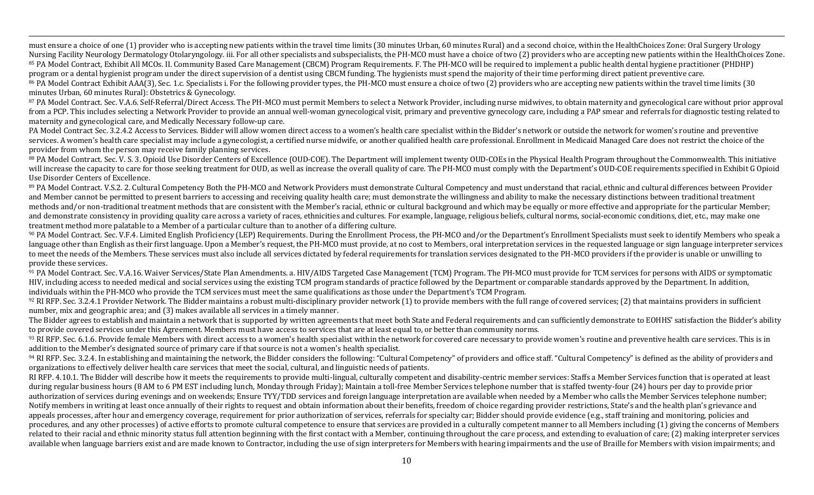must ensure a choice of one (1) provider who is accepting new patients within the travel time limits (30 minutes Urban, 60 minutes Rural) and a second choice, within the HealthChoices Zone: Oral Surgery Urology Nursing Facility Neurology Dermatology Otolaryngology. iii. For all other specialists and subspecialists, the PH-MCO must have a choice of two (2) providers who are accepting new patients within the HealthChoices Zone. 85 PA Model Contract, Exhibit All MCOs. II. Community Based Care Management (CBCM) Program Requirements. F. The PH-MCO will be required to implement a public health dental hygiene practitioner (PHDHP) program or a dental hygienist program under the direct supervision of a dentist using CBCM funding. The hygienists must spend the majority of their time performing direct patient preventive care. <sup>86</sup> PA Model Contract Exhibit AAA(3), Sec. 1.c. Specialists i. For the following provider types, the PH-MCO must ensure a choice of two (2) providers who are accepting new patients within the travel time limits (30 minutes Urban, 60 minutes Rural): Obstetrics & Gynecology.

,一个人都没有,他们的人都没有,他们的人都没有,他们的人都没有,他们的人都没有,他们的人都没有,他们的人都没有,他们的人都是不是,他们的人都是不是,他们的人都是<br>第251章 我们的人都是不是,他们的人都是不是,他们的人都是不是,他们的人都是不是,他们的人都是不是,他们的人都是不是,他们的人都是不是,他们的人都是不是不是,

<sup>87</sup> PA Model Contract. Sec. V.A.6. Self-Referral/Direct Access. The PH-MCO must permit Members to select a Network Provider, including nurse midwives, to obtain maternity and gynecological care without prior approval from a PCP. This includes selecting a Network Provider to provide an annual well-woman gynecological visit, primary and preventive gynecology care, including a PAP smear and referrals for diagnostic testing related to maternity and gynecological care, and Medically Necessary follow-up care.

PA Model Contract Sec. 3.2.4.2 Access to Services. Bidder will allow women direct access to a women's health care specialist within the Bidder's network or outside the network for women's routine and preventive services. A women's health care specialist may include a gynecologist, a certified nurse midwife, or another qualified health care professional. Enrollment in Medicaid Managed Care does not restrict the choice of the provider from whom the person may receive family planning services.

<sup>88</sup> PA Model Contract. Sec. V. S. 3. Opioid Use Disorder Centers of Excellence (OUD-COE). The Department will implement twenty OUD-COEs in the Physical Health Program throughout the Commonwealth. This initiative will increase the capacity to care for those seeking treatment for OUD, as well as increase the overall quality of care. The PH-MCO must comply with the Department's OUD-COE requirements specified in Exhibit G Opioid Use Disorder Centers of Excellence.

<sup>89</sup> PA Model Contract. V.S.2. 2. Cultural Competency Both the PH-MCO and Network Providers must demonstrate Cultural Competency and must understand that racial, ethnic and cultural differences between Provider and Member cannot be permitted to present barriers to accessing and receiving quality health care; must demonstrate the willingness and ability to make the necessary distinctions between traditional treatment methods and/or non-traditional treatment methods that are consistent with the Member's racial, ethnic or cultural background and which may be equally or more effective and appropriate for the particular Member; and demonstrate consistency in providing quality care across a variety of races, ethnicities and cultures. For example, language, religious beliefs, cultural norms, social-economic conditions, diet, etc., may make one treatment method more palatable to a Member of a particular culture than to another of a differing culture.

<sup>90</sup> PA Model Contract. Sec. V.F.4. Limited English Proficiency (LEP) Requirements. During the Enrollment Process, the PH-MCO and/or the Department's Enrollment Specialists must seek to identify Members who speak a language other than English as their first language. Upon a Member's request, the PH-MCO must provide, at no cost to Members, oral interpretation services in the requested language or sign language interpreter services to meet the needs of the Members. These services must also include all services dictated by federal requirements for translation services designated to the PH-MCO providers if the provider is unable or unwilling to provide these services.

91 PA Model Contract. Sec. V.A.16. Waiver Services/State Plan Amendments. a. HIV/AIDS Targeted Case Management (TCM) Program. The PH-MCO must provide for TCM services for persons with AIDS or symptomatic HIV, including access to needed medical and social services using the existing TCM program standards of practice followed by the Department or comparable standards approved by the Department. In addition, individuals within the PH-MCO who provide the TCM services must meet the same qualifications as those under the Department's TCM Program.

 $92$  RI RFP. Sec. 3.2.4.1 Provider Network. The Bidder maintains a robust multi-disciplinary provider network (1) to provide members with the full range of covered services; (2) that maintains providers in sufficient number, mix and geographic area; and (3) makes available all services in a timely manner.

The Bidder agrees to establish and maintain a network that is supported by written agreements that meet both State and Federal requirements and can sufficiently demonstrate to EOHHS' satisfaction the Bidder's ability to provide covered services under this Agreement. Members must have access to services that are at least equal to, or better than community norms.

93 RI RFP. Sec. 6.1.6. Provide female Members with direct access to a women's health specialist within the network for covered care necessary to provide women's routine and preventive health care services. This is in addition to the Member's designated source of primary care if that source is not a women's health specialist.

<sup>94</sup> RI RFP. Sec. 3.2.4. In establishing and maintaining the network, the Bidder considers the following: "Cultural Competency" of providers and office staff. "Cultural Competency" is defined as the ability of providers an organizations to effectively deliver health care services that meet the social, cultural, and linguistic needs of patients.

RI RFP. 4.10.1. The Bidder will describe how it meets the requirements to provide multi-lingual, culturally competent and disability-centric member services: Staffs a Member Services function that is operated at least during regular business hours (8 AM to 6 PM EST including lunch, Monday through Friday); Maintain a toll-free Member Services telephone number that is staffed twenty-four (24) hours per day to provide prior authorization of services during evenings and on weekends; Ensure TYY/TDD services and foreign language interpretation are available when needed by a Member who calls the Member Services telephone number; Notify members in writing at least once annually of their rights to request and obtain information about their benefits, freedom of choice regarding provider restrictions, State's and the health plan's grievance and appeals processes, after hour and emergency coverage, requirement for prior authorization of services, referrals for specialty car; Bidder should provide evidence (e.g., staff training and monitoring, policies and procedures, and any other processes) of active efforts to promote cultural competence to ensure that services are provided in a culturally competent manner to all Members including (1) giving the concerns of Members related to their racial and ethnic minority status full attention beginning with the first contact with a Member, continuing throughout the care process, and extending to evaluation of care; (2) making interpreter services available when language barriers exist and are made known to Contractor, including the use of sign interpreters for Members with hearing impairments and the use of Braille for Members with vision impairments; and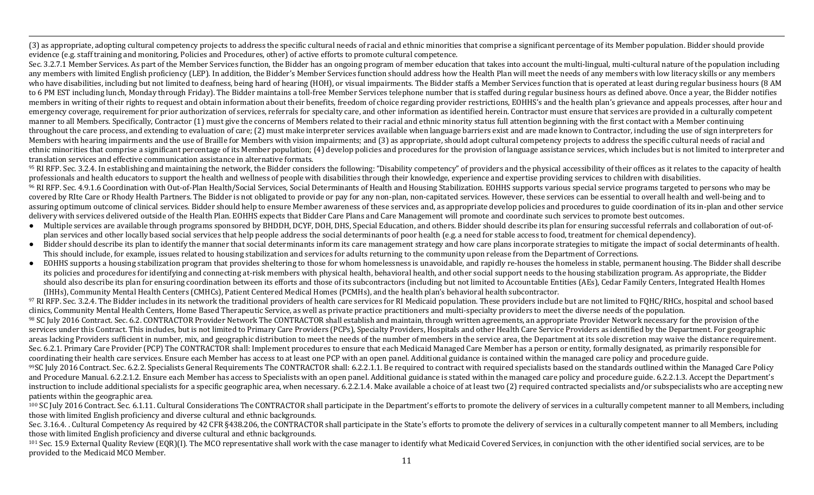,一个人都没有,他们的人都没有,他们的人都没有,他们的人都没有,他们的人都没有,他们的人都没有,他们的人都没有,他们的人都是不是,他们的人都是不是,他们的人都是<br>第251章 我们的人都是不是,他们的人都是不是,他们的人都是不是,他们的人都是不是,他们的人都是不是,他们的人都是不是,他们的人都是不是,他们的人都是不是不是, (3) as appropriate, adopting cultural competency projects to address the specific cultural needs of racial and ethnic minorities that comprise a significant percentage of its Member population. Bidder should provide evidence (e.g. staff training and monitoring, Policies and Procedures, other) of active efforts to promote cultural competence.

Sec. 3.2.7.1 Member Services. As part of the Member Services function, the Bidder has an ongoing program of member education that takes into account the multi-lingual, multi-cultural nature of the population including any members with limited English proficiency (LEP). In addition, the Bidder's Member Services function should address how the Health Plan will meet the needs of any members with low literacy skills or any members who have disabilities, including but not limited to deafness, being hard of hearing (HOH), or visual impairments. The Bidder staffs a Member Services function that is operated at least during regular business hours (8 AM to 6 PM EST including lunch, Monday through Friday). The Bidder maintains a toll-free Member Services telephone number that is staffed during regular business hours as defined above. Once a year, the Bidder notifies members in writing of their rights to request and obtain information about their benefits, freedom of choice regarding provider restrictions, EOHHS's and the health plan's grievance and appeals processes, after hour and emergency coverage, requirement for prior authorization of services, referrals for specialty care, and other information as identified herein. Contractor must ensure that services are provided in a culturally competent manner to all Members. Specifically, Contractor (1) must give the concerns of Members related to their racial and ethnic minority status full attention beginning with the first contact with a Member continuing throughout the care process, and extending to evaluation of care; (2) must make interpreter services available when language barriers exist and are made known to Contractor, including the use of sign interpreters for Members with hearing impairments and the use of Braille for Members with vision impairments; and (3) as appropriate, should adopt cultural competency projects to address the specific cultural needs of racial and ethnic minorities that comprise a significant percentage of its Member population; (4) develop policies and procedures for the provision of language assistance services, which includes but is not limited to interpreter and translation services and effective communication assistance in alternative formats.

<sup>95</sup> RI RFP. Sec. 3.2.4. In establishing and maintaining the network, the Bidder considers the following: "Disability competency" of providers and the physical accessibility of their offices as it relates to the capacity o professionals and health educators to support the health and wellness of people with disabilities through their knowledge, experience and expertise providing services to children with disabilities.

<sup>96</sup> RI RFP. Sec. 4.9.1.6 Coordination with Out-of-Plan Health/Social Services, Social Determinants of Health and Housing Stabilization. EOHHS supports various special service programs targeted to persons who may be covered by RIte Care or Rhody Health Partners. The Bidder is not obligated to provide or pay for any non-plan, non-capitated services. However, these services can be essential to overall health and well-being and to assuring optimum outcome of clinical services. Bidder should help to ensure Member awareness of these services and, as appropriate develop policies and procedures to guide coordination of its in-plan and other service delivery with services delivered outside of the Health Plan. EOHHS expects that Bidder Care Plans and Care Management will promote and coordinate such services to promote best outcomes.

- Multiple services are available through programs sponsored by BHDDH, DCYF, DOH, DHS, Special Education, and others. Bidder should describe its plan for ensuring successful referrals and collaboration of out-ofplan services and other locally based social services that help people address the social determinants of poor health (e.g. a need for stable access to food, treatment for chemical dependency).
- Bidder should describe its plan to identify the manner that social determinants inform its care management strategy and how care plans incorporate strategies to mitigate the impact of social determinants of health. This should include, for example, issues related to housing stabilization and services for adults returning to the community upon release from the Department of Corrections.
- EOHHS supports a housing stabilization program that provides sheltering to those for whom homelessness is unavoidable, and rapidly re-houses the homeless in stable, permanent housing. The Bidder shall describe its policies and procedures for identifying and connecting at-risk members with physical health, behavioral health, and other social support needs to the housing stabilization program. As appropriate, the Bidder should also describe its plan for ensuring coordination between its efforts and those of its subcontractors (including but not limited to Accountable Entities (AEs), Cedar Family Centers, Integrated Health Homes (IHHs), Community Mental Health Centers (CMHCs), Patient Centered Medical Homes (PCMHs), and the health plan's behavioral health subcontractor.

<sup>97</sup> RI RFP. Sec. 3.2.4. The Bidder includes in its network the traditional providers of health care services for RI Medicaid population. These providers include but are not limited to FOHC/RHCs, hospital and school based clinics, Community Mental Health Centers, Home Based Therapeutic Service, as well as private practice practitioners and multi-specialty providers to meet the diverse needs of the population.

98 SC July 2016 Contract. Sec. 6.2. CONTRACTOR Provider Network The CONTRACTOR shall establish and maintain, through written agreements, an appropriate Provider Network necessary for the provision of the services under this Contract. This includes, but is not limited to Primary Care Providers (PCPs), Specialty Providers, Hospitals and other Health Care Service Providers as identified by the Department. For geographic areas lacking Providers sufficient in number, mix, and geographic distribution to meet the needs of the number of members in the service area, the Department at its sole discretion may waive the distance requirement. Sec. 6.2.1. Primary Care Provider (PCP) The CONTRACTOR shall: Implement procedures to ensure that each Medicaid Managed Care Member has a person or entity, formally designated, as primarily responsible for coordinating their health care services. Ensure each Member has access to at least one PCP with an open panel. Additional guidance is contained within the managed care policy and procedure guide.

99SC July 2016 Contract. Sec. 6.2.2. Specialists General Requirements The CONTRACTOR shall: 6.2.2.1.1. Be required to contract with required specialists based on the standards outlined within the Managed Care Policy and Procedure Manual. 6.2.2.1.2. Ensure each Member has access to Specialists with an open panel. Additional guidance is stated within the managed care policy and procedure guide. 6.2.2.1.3. Accept the Department's instruction to include additional specialists for a specific geographic area, when necessary. 6.2.2.1.4. Make available a choice of at least two (2) required contracted specialists and/or subspecialists who are accepting patients within the geographic area.

 $100$  SC July 2016 Contract. Sec. 6.1.11. Cultural Considerations The CONTRACTOR shall participate in the Department's efforts to promote the delivery of services in a culturally competent manner to all Members, including those with limited English proficiency and diverse cultural and ethnic backgrounds.

Sec. 3.16.4. Cultural Competency As required by 42 CFR §438.206, the CONTRACTOR shall participate in the State's efforts to promote the delivery of services in a culturally competent manner to all Members, including those with limited English proficiency and diverse cultural and ethnic backgrounds.

<sup>101</sup> Sec. 15.9 External Quality Review (EQR)(I). The MCO representative shall work with the case manager to identify what Medicaid Covered Services, in conjunction with the other identified social services, are to be provided to the Medicaid MCO Member.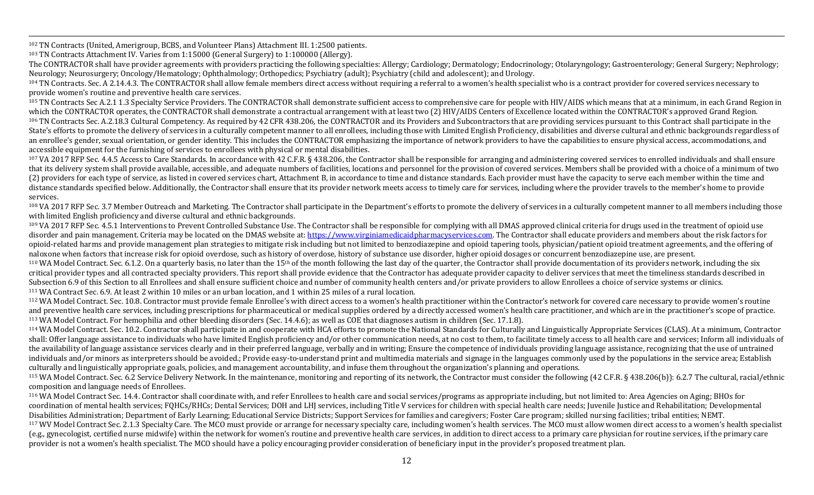<sup>102</sup> TN Contracts (United, Amerigroup, BCBS, and Volunteer Plans) Attachment III. 1:2500 patients.

<sup>103</sup> TN Contracts Attachment IV. Varies from 1:15000 (General Surgery) to 1:100000 (Allergy).

The CONTRACTOR shall have provider agreements with providers practicing the following specialties: Allergy; Cardiology; Dermatology; Endocrinology; Otolaryngology; Gastroenterology; General Surgery; Nephrology; Neurology; Neurosurgery; Oncology/Hematology; Ophthalmology; Orthopedics; Psychiatry (adult); Psychiatry (child and adolescent); and Urology.

,一个人都没有,他们的人都没有,他们的人都没有,他们的人都没有,他们的人都没有,他们的人都没有,他们的人都没有,他们的人都是不是,他们的人都是不是,他们的人都是<br>第251章 我们的人都是不是,他们的人都是不是,他们的人都是不是,他们的人都是不是,他们的人都是不是,他们的人都是不是,他们的人都是不是,他们的人都是不是不是,

 $104$  TN Contracts. Sec. A 2.14.4.3. The CONTRACTOR shall allow female members direct access without requiring a referral to a women's health specialist who is a contract provider for covered services necessary to provide women's routine and preventive health care services.

<sup>105</sup> TN Contracts Sec A.2.1 1.3 Specialty Service Providers. The CONTRACTOR shall demonstrate sufficient access to comprehensive care for people with HIV/AIDS which means that at a minimum, in each Grand Region in which the CONTRACTOR operates, the CONTRACTOR shall demonstrate a contractual arrangement with at least two (2) HIV/AIDS Centers of Excellence located within the CONTRACTOR's approved Grand Region. <sup>106</sup> TN Contracts Sec. A.2.18.3 Cultural Competency. As required by 42 CFR 438.206, the CONTRACTOR and its Providers and Subcontractors that are providing services pursuant to this Contract shall participate in the State's efforts to promote the delivery of services in a culturally competent manner to all enrollees, including those with Limited English Proficiency, disabilities and diverse cultural and ethnic backgrounds regardless o an enrollee's gender, sexual orientation, or gender identity. This includes the CONTRACTOR emphasizing the importance of network providers to have the capabilities to ensure physical access, accommodations, and accessible equipment for the furnishing of services to enrollees with physical or mental disabilities.

 $107$  VA 2017 RFP Sec. 4.4.5 Access to Care Standards. In accordance with 42 C.F.R. § 438.206, the Contractor shall be responsible for arranging and administering covered services to enrolled individuals and shall ensure that its delivery system shall provide available, accessible, and adequate numbers of facilities, locations and personnel for the provision of covered services. Members shall be provided with a choice of a minimum of two (2) providers for each type of service, as listed in covered services chart, Attachment B, in accordance to time and distance standards. Each provider must have the capacity to serve each member within the time and distance standards specified below. Additionally, the Contractor shall ensure that its provider network meets access to timely care for services, including where the provider travels to the member's home to provide services.

108 VA 2017 RFP Sec. 3.7 Member Outreach and Marketing. The Contractor shall participate in the Department's efforts to promote the delivery of services in a culturally competent manner to all members including those with limited English proficiency and diverse cultural and ethnic backgrounds.

<sup>109</sup> VA 2017 RFP Sec. 4.5.1 Interventions to Prevent Controlled Substance Use. The Contractor shall be responsible for complying with all DMAS approved clinical criteria for drugs used in the treatment of opioid use disorder and pain management. Criteria may be located on the DMAS website at: https://www.virginiamedicaidpharmacyservices.com. The Contractor shall educate providers and members about the risk factors for opioid-related harms and provide management plan strategies to mitigate risk including but not limited to benzodiazepine and opioid tapering tools, physician/patient opioid treatment agreements, and the offering of naloxone when factors that increase risk for opioid overdose, such as history of overdose, history of substance use disorder, higher opioid dosages or concurrent benzodiazepine use, are present.

 $110$  WA Model Contract. Sec. 6.1.2. On a quarterly basis, no later than the  $15<sup>th</sup>$  of the month following the last day of the quarter, the Contractor shall provide documentation of its providers network, including t critical provider types and all contracted specialty providers. This report shall provide evidence that the Contractor has adequate provider capacity to deliver services that meet the timeliness standards described in Subsection 6.9 of this Section to all Enrollees and shall ensure sufficient choice and number of community health centers and/or private providers to allow Enrollees a choice of service systems or clinics.  $111$  WA Contract Sec. 6.9. At least 2 within 10 miles or an urban location, and 1 within 25 miles of a rural location.

<sup>112</sup> WA Model Contract. Sec. 10.8. Contractor must provide female Enrollee's with direct access to a women's health practitioner within the Contractor's network for covered care necessary to provide women's routine and preventive health care services, including prescriptions for pharmaceutical or medical supplies ordered by a directly accessed women's health care practitioner, and which are in the practitioner's scope of practice. <sup>113</sup> WA Model Contract. For hemophilia and other bleeding disorders (Sec. 14.4.6); as well as COE that diagnoses autism in children (Sec. 17.1.8).

<sup>114</sup> WA Model Contract. Sec. 10.2. Contractor shall participate in and cooperate with HCA efforts to promote the National Standards for Culturally and Linguistically Appropriate Services (CLAS). At a minimum, Contractor shall: Offer language assistance to individuals who have limited English proficiency and/or other communication needs, at no cost to them, to facilitate timely access to all health care and services; Inform all individuals the availability of language assistance services clearly and in their preferred language, verbally and in writing; Ensure the competence of individuals providing language assistance, recognizing that the use of untrained individuals and/or minors as interpreters should be avoided.; Provide easy-to-understand print and multimedia materials and signage in the languages commonly used by the populations in the service area; Establish culturally and linguistically appropriate goals, policies, and management accountability, and infuse them throughout the organization's planning and operations.

<sup>115</sup> WA Model Contract. Sec. 6.2 Service Delivery Network. In the maintenance, monitoring and reporting of its network, the Contractor must consider the following (42 C.F.R. § 438.206(b)): 6.2.7 The cultural, racial/ethn composition and language needs of Enrollees.

<sup>116</sup> WA Model Contract Sec. 14.4. Contractor shall coordinate with, and refer Enrollees to health care and social services/programs as appropriate including, but not limited to: Area Agencies on Aging; BHOs for coordination of mental health services; FQHCs/RHCs; Dental Services; DOH and LHJ services, including Title V services for children with special health care needs; Iuvenile Justice and Rehabilitation: Developmental Disabilities Administration; Department of Early Learning; Educational Service Districts; Support Services for families and caregivers; Foster Care program; skilled nursing facilities; tribal entities; NEMT. <sup>117</sup> WV Model Contract Sec. 2.1.3 Specialty Care. The MCO must provide or arrange for necessary specialty care, including women's health services. The MCO must allow women direct access to a women's health specialist

(e.g., gynecologist, certified nurse midwife) within the network for women's routine and preventive health care services, in addition to direct access to a primary care physician for routine services, if the primary care provider is not a women's health specialist. The MCO should have a policy encouraging provider consideration of beneficiary input in the provider's proposed treatment plan.